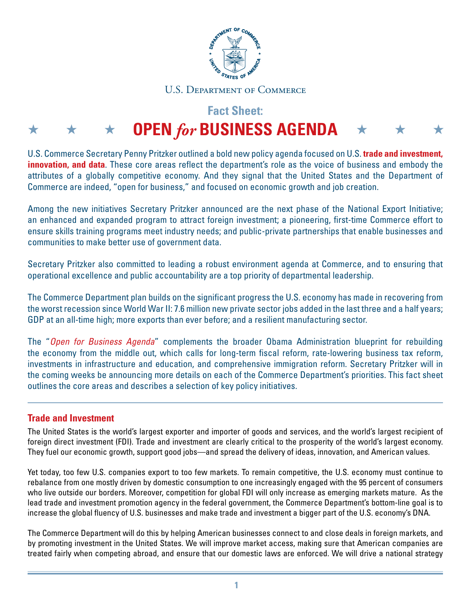

#### U.S. Department of Commerce

# **Fact Sheet:**

# $\star$   $\star$   $\star$  **OPEN** for BUSINESS AGENDA  $\star$   $\star$   $\star$

U.S. Commerce Secretary Penny Pritzker outlined a bold new policy agenda focused on U.S. **trade and investment, innovation, and data**. These core areas reflect the department's role as the voice of business and embody the attributes of a globally competitive economy. And they signal that the United States and the Department of Commerce are indeed, "open for business," and focused on economic growth and job creation.

Among the new initiatives Secretary Pritzker announced are the next phase of the National Export Initiative; an enhanced and expanded program to attract foreign investment; a pioneering, first-time Commerce effort to ensure skills training programs meet industry needs; and public-private partnerships that enable businesses and communities to make better use of government data.

Secretary Pritzker also committed to leading a robust environment agenda at Commerce, and to ensuring that operational excellence and public accountability are a top priority of departmental leadership.

The Commerce Department plan builds on the significant progress the U.S. economy has made in recovering from the worst recession since World War II: 7.6 million new private sector jobs added in the last three and a half years; GDP at an all-time high; more exports than ever before; and a resilient manufacturing sector.

The "*Open for Business Agenda*" complements the broader Obama Administration blueprint for rebuilding the economy from the middle out, which calls for long-term fiscal reform, rate-lowering business tax reform, investments in infrastructure and education, and comprehensive immigration reform. Secretary Pritzker will in the coming weeks be announcing more details on each of the Commerce Department's priorities. This fact sheet outlines the core areas and describes a selection of key policy initiatives.

## **Trade and Investment**

The United States is the world's largest exporter and importer of goods and services, and the world's largest recipient of foreign direct investment (FDI). Trade and investment are clearly critical to the prosperity of the world's largest economy. They fuel our economic growth, support good jobs—and spread the delivery of ideas, innovation, and American values.

Yet today, too few U.S. companies export to too few markets. To remain competitive, the U.S. economy must continue to rebalance from one mostly driven by domestic consumption to one increasingly engaged with the 95 percent of consumers who live outside our borders. Moreover, competition for global FDI will only increase as emerging markets mature. As the lead trade and investment promotion agency in the federal government, the Commerce Department's bottom-line goal is to increase the global fluency of U.S. businesses and make trade and investment a bigger part of the U.S. economy's DNA.

The Commerce Department will do this by helping American businesses connect to and close deals in foreign markets, and by promoting investment in the United States. We will improve market access, making sure that American companies are treated fairly when competing abroad, and ensure that our domestic laws are enforced. We will drive a national strategy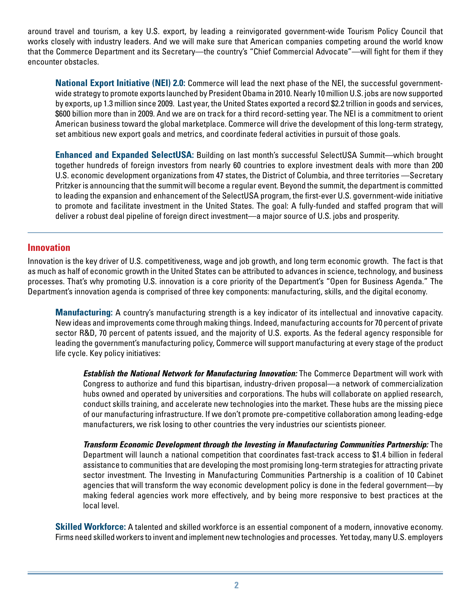around travel and tourism, a key U.S. export, by leading a reinvigorated government-wide Tourism Policy Council that works closely with industry leaders. And we will make sure that American companies competing around the world know that the Commerce Department and its Secretary—the country's "Chief Commercial Advocate"—will fight for them if they encounter obstacles.

**National Export Initiative (NEI) 2.0:** Commerce will lead the next phase of the NEI, the successful governmentwide strategy to promote exports launched by President Obama in 2010. Nearly 10 million U.S. jobs are now supported by exports, up 1.3 million since 2009. Last year, the United States exported a record \$2.2 trillion in goods and services, \$600 billion more than in 2009. And we are on track for a third record-setting year. The NEI is a commitment to orient American business toward the global marketplace. Commerce will drive the development of this long-term strategy, set ambitious new export goals and metrics, and coordinate federal activities in pursuit of those goals.

**Enhanced and Expanded SelectUSA:** Building on last month's successful SelectUSA Summit—which brought together hundreds of foreign investors from nearly 60 countries to explore investment deals with more than 200 U.S. economic development organizations from 47 states, the District of Columbia, and three territories —Secretary Pritzker is announcing that the summit will become a regular event. Beyond the summit, the department is committed to leading the expansion and enhancement of the SelectUSA program, the first-ever U.S. government-wide initiative to promote and facilitate investment in the United States. The goal: A fully-funded and staffed program that will deliver a robust deal pipeline of foreign direct investment—a major source of U.S. jobs and prosperity.

#### **Innovation**

Innovation is the key driver of U.S. competitiveness, wage and job growth, and long term economic growth. The fact is that as much as half of economic growth in the United States can be attributed to advances in science, technology, and business processes. That's why promoting U.S. innovation is a core priority of the Department's "Open for Business Agenda." The Department's innovation agenda is comprised of three key components: manufacturing, skills, and the digital economy.

**Manufacturing:** A country's manufacturing strength is a key indicator of its intellectual and innovative capacity. New ideas and improvements come through making things. Indeed, manufacturing accounts for 70 percent of private sector R&D, 70 percent of patents issued, and the majority of U.S. exports. As the federal agency responsible for leading the government's manufacturing policy, Commerce will support manufacturing at every stage of the product life cycle. Key policy initiatives:

*Establish the National Network for Manufacturing Innovation:* The Commerce Department will work with Congress to authorize and fund this bipartisan, industry-driven proposal—a network of commercialization hubs owned and operated by universities and corporations. The hubs will collaborate on applied research, conduct skills training, and accelerate new technologies into the market. These hubs are the missing piece of our manufacturing infrastructure. If we don't promote pre-competitive collaboration among leading-edge manufacturers, we risk losing to other countries the very industries our scientists pioneer.

*Transform Economic Development through the Investing in Manufacturing Communities Partnership:* The Department will launch a national competition that coordinates fast-track access to \$1.4 billion in federal assistance to communities that are developing the most promising long-term strategies for attracting private sector investment. The Investing in Manufacturing Communities Partnership is a coalition of 10 Cabinet agencies that will transform the way economic development policy is done in the federal government—by making federal agencies work more effectively, and by being more responsive to best practices at the local level.

**Skilled Workforce:** A talented and skilled workforce is an essential component of a modern, innovative economy. Firms need skilled workers to invent and implement new technologies and processes. Yet today, many U.S. employers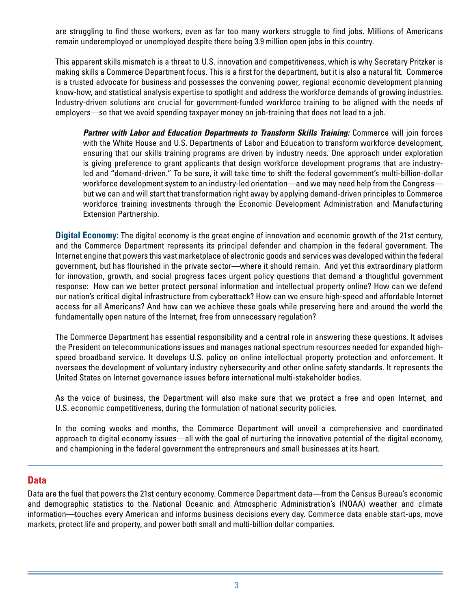are struggling to find those workers, even as far too many workers struggle to find jobs. Millions of Americans remain underemployed or unemployed despite there being 3.9 million open jobs in this country.

This apparent skills mismatch is a threat to U.S. innovation and competitiveness, which is why Secretary Pritzker is making skills a Commerce Department focus. This is a first for the department, but it is also a natural fit. Commerce is a trusted advocate for business and possesses the convening power, regional economic development planning know-how, and statistical analysis expertise to spotlight and address the workforce demands of growing industries. Industry-driven solutions are crucial for government-funded workforce training to be aligned with the needs of employers—so that we avoid spending taxpayer money on job-training that does not lead to a job.

*Partner with Labor and Education Departments to Transform Skills Training:* Commerce will join forces with the White House and U.S. Departments of Labor and Education to transform workforce development, ensuring that our skills training programs are driven by industry needs. One approach under exploration is giving preference to grant applicants that design workforce development programs that are industryled and "demand-driven." To be sure, it will take time to shift the federal government's multi-billion-dollar workforce development system to an industry-led orientation—and we may need help from the Congress but we can and will start that transformation right away by applying demand-driven principles to Commerce workforce training investments through the Economic Development Administration and Manufacturing Extension Partnership.

**Digital Economy:** The digital economy is the great engine of innovation and economic growth of the 21st century, and the Commerce Department represents its principal defender and champion in the federal government. The Internet engine that powers this vast marketplace of electronic goods and services was developed within the federal government, but has flourished in the private sector—where it should remain. And yet this extraordinary platform for innovation, growth, and social progress faces urgent policy questions that demand a thoughtful government response: How can we better protect personal information and intellectual property online? How can we defend our nation's critical digital infrastructure from cyberattack? How can we ensure high-speed and affordable Internet access for all Americans? And how can we achieve these goals while preserving here and around the world the fundamentally open nature of the Internet, free from unnecessary regulation?

The Commerce Department has essential responsibility and a central role in answering these questions. It advises the President on telecommunications issues and manages national spectrum resources needed for expanded highspeed broadband service. It develops U.S. policy on online intellectual property protection and enforcement. It oversees the development of voluntary industry cybersecurity and other online safety standards. It represents the United States on Internet governance issues before international multi-stakeholder bodies.

As the voice of business, the Department will also make sure that we protect a free and open Internet, and U.S. economic competitiveness, during the formulation of national security policies.

In the coming weeks and months, the Commerce Department will unveil a comprehensive and coordinated approach to digital economy issues—all with the goal of nurturing the innovative potential of the digital economy, and championing in the federal government the entrepreneurs and small businesses at its heart.

## **Data**

Data are the fuel that powers the 21st century economy. Commerce Department data—from the Census Bureau's economic and demographic statistics to the National Oceanic and Atmospheric Administration's (NOAA) weather and climate information—touches every American and informs business decisions every day. Commerce data enable start-ups, move markets, protect life and property, and power both small and multi-billion dollar companies.